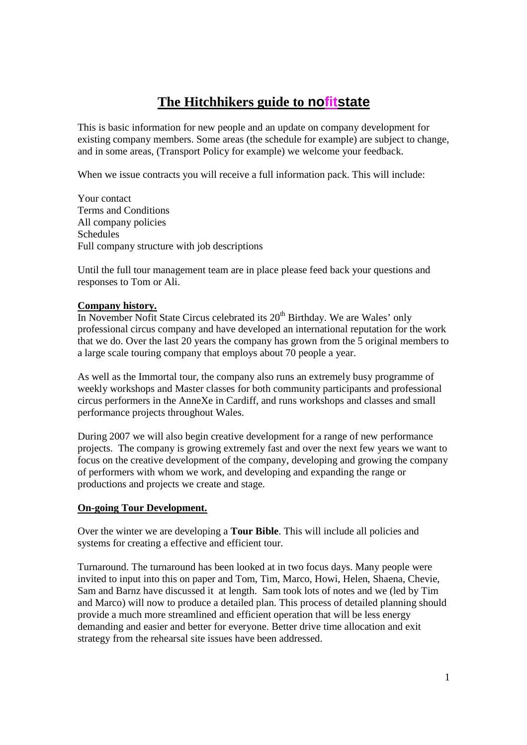# **The Hitchhikers guide to nofitstate**

This is basic information for new people and an update on company development for existing company members. Some areas (the schedule for example) are subject to change, and in some areas, (Transport Policy for example) we welcome your feedback.

When we issue contracts you will receive a full information pack. This will include:

Your contact Terms and Conditions All company policies Schedules Full company structure with job descriptions

Until the full tour management team are in place please feed back your questions and responses to Tom or Ali.

## **Company history.**

In November Nofit State Circus celebrated its  $20<sup>th</sup>$  Birthday. We are Wales' only professional circus company and have developed an international reputation for the work that we do. Over the last 20 years the company has grown from the 5 original members to a large scale touring company that employs about 70 people a year.

As well as the Immortal tour, the company also runs an extremely busy programme of weekly workshops and Master classes for both community participants and professional circus performers in the AnneXe in Cardiff, and runs workshops and classes and small performance projects throughout Wales.

During 2007 we will also begin creative development for a range of new performance projects. The company is growing extremely fast and over the next few years we want to focus on the creative development of the company, developing and growing the company of performers with whom we work, and developing and expanding the range or productions and projects we create and stage.

## **On-going Tour Development.**

Over the winter we are developing a **Tour Bible**. This will include all policies and systems for creating a effective and efficient tour.

Turnaround. The turnaround has been looked at in two focus days. Many people were invited to input into this on paper and Tom, Tim, Marco, Howi, Helen, Shaena, Chevie, Sam and Barnz have discussed it at length. Sam took lots of notes and we (led by Tim and Marco) will now to produce a detailed plan. This process of detailed planning should provide a much more streamlined and efficient operation that will be less energy demanding and easier and better for everyone. Better drive time allocation and exit strategy from the rehearsal site issues have been addressed.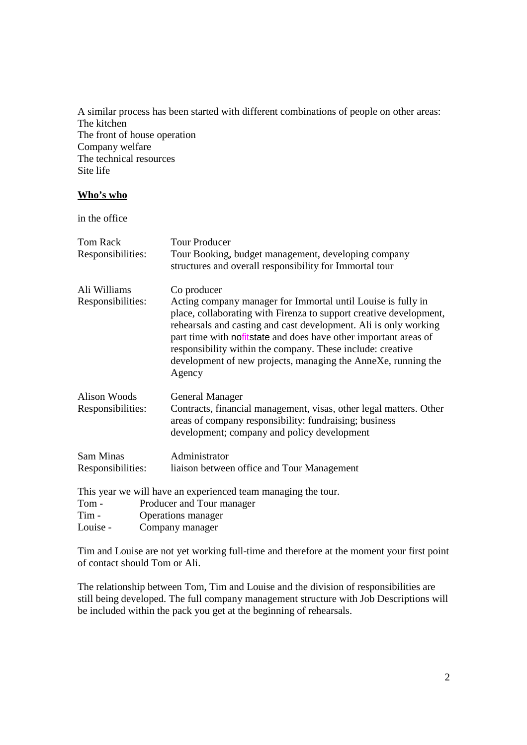A similar process has been started with different combinations of people on other areas: The kitchen The front of house operation Company welfare The technical resources Site life

## **Who's who**

in the office

| Tom Rack            | <b>Tour Producer</b>                                                                                                                                                                                                                                                                                                                                                                                                |  |  |
|---------------------|---------------------------------------------------------------------------------------------------------------------------------------------------------------------------------------------------------------------------------------------------------------------------------------------------------------------------------------------------------------------------------------------------------------------|--|--|
| Responsibilities:   | Tour Booking, budget management, developing company<br>structures and overall responsibility for Immortal tour                                                                                                                                                                                                                                                                                                      |  |  |
|                     |                                                                                                                                                                                                                                                                                                                                                                                                                     |  |  |
| Ali Williams        | Co producer                                                                                                                                                                                                                                                                                                                                                                                                         |  |  |
| Responsibilities:   | Acting company manager for Immortal until Louise is fully in<br>place, collaborating with Firenza to support creative development,<br>rehearsals and casting and cast development. Ali is only working<br>part time with nofitstate and does have other important areas of<br>responsibility within the company. These include: creative<br>development of new projects, managing the AnneXe, running the<br>Agency |  |  |
| <b>Alison Woods</b> | <b>General Manager</b>                                                                                                                                                                                                                                                                                                                                                                                              |  |  |
| Responsibilities:   | Contracts, financial management, visas, other legal matters. Other<br>areas of company responsibility: fundraising; business<br>development; company and policy development                                                                                                                                                                                                                                         |  |  |
| Sam Minas           | Administrator                                                                                                                                                                                                                                                                                                                                                                                                       |  |  |
| Responsibilities:   | liaison between office and Tour Management                                                                                                                                                                                                                                                                                                                                                                          |  |  |
|                     | This year we will have an experienced team managing the tour.                                                                                                                                                                                                                                                                                                                                                       |  |  |
| Tom -               | Producer and Tour manager                                                                                                                                                                                                                                                                                                                                                                                           |  |  |
| Tim -               | Operations manager                                                                                                                                                                                                                                                                                                                                                                                                  |  |  |
| Louise -            | Company manager                                                                                                                                                                                                                                                                                                                                                                                                     |  |  |

Tim and Louise are not yet working full-time and therefore at the moment your first point of contact should Tom or Ali.

The relationship between Tom, Tim and Louise and the division of responsibilities are still being developed. The full company management structure with Job Descriptions will be included within the pack you get at the beginning of rehearsals.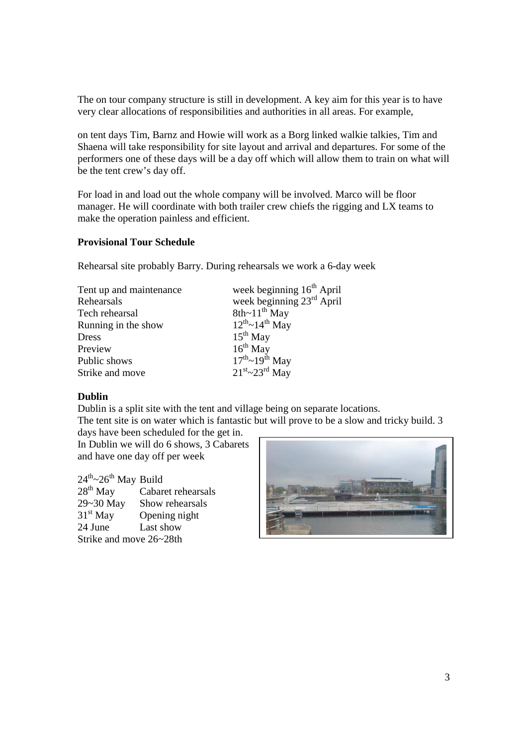The on tour company structure is still in development. A key aim for this year is to have very clear allocations of responsibilities and authorities in all areas. For example,

on tent days Tim, Barnz and Howie will work as a Borg linked walkie talkies, Tim and Shaena will take responsibility for site layout and arrival and departures. For some of the performers one of these days will be a day off which will allow them to train on what will be the tent crew's day off.

For load in and load out the whole company will be involved. Marco will be floor manager. He will coordinate with both trailer crew chiefs the rigging and LX teams to make the operation painless and efficient.

#### **Provisional Tour Schedule**

Rehearsal site probably Barry. During rehearsals we work a 6-day week

| Tent up and maintenance | week beginnin                   |
|-------------------------|---------------------------------|
| Rehearsals              | week beginnin                   |
| Tech rehearsal          | 8th~ $11^{th}$ May              |
| Running in the show     | $12^{th}$ ~ $14^{th}$ May       |
| Dress                   | $15^{th}$ May                   |
| Preview                 | $16^{th}$ May                   |
| Public shows            | $17^{th}$ ~ $19^{th}$ May       |
| Strike and move         | $21^{st}$ ~23 <sup>rd</sup> May |

 $\text{re}$  week beginning  $16^{\text{th}}$  April week beginning 23<sup>rd</sup> April  $15^{th}$  May  $21^{st}$ ~ $23^{rd}$  May

## **Dublin**

Dublin is a split site with the tent and village being on separate locations. The tent site is on water which is fantastic but will prove to be a slow and tricky build. 3

days have been scheduled for the get in. In Dublin we will do 6 shows, 3 Cabarets and have one day off per week

 $24^{th} \sim 26^{th}$  May Build<br> $28^{th}$  May Cabar Cabaret rehearsals 29~30 May Show rehearsals  $31<sup>st</sup>$  May Opening night 24 June Last show Strike and move 26~28th

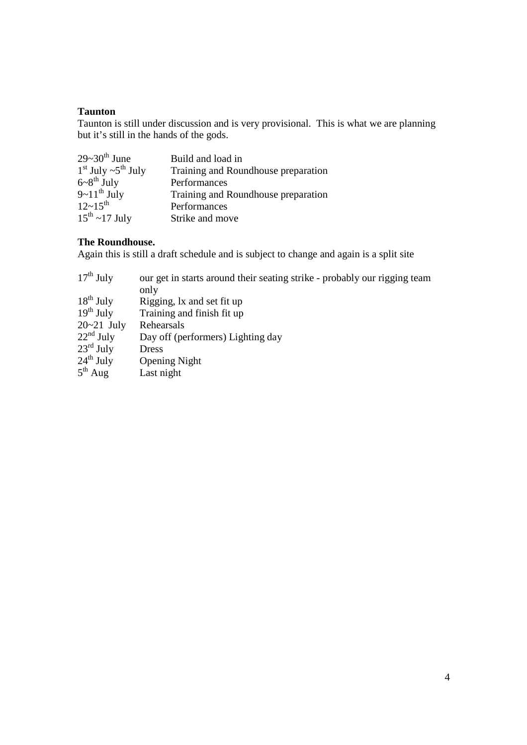#### **Taunton**

Taunton is still under discussion and is very provisional. This is what we are planning but it's still in the hands of the gods.

| $29-30^{\text{th}}$ June                | Build and load in                   |
|-----------------------------------------|-------------------------------------|
| $1st$ July $\sim 5th$ July              | Training and Roundhouse preparation |
| $6-8$ <sup>th</sup> July                | Performances                        |
| $9-11^{th}$ July<br>12~15 <sup>th</sup> | Training and Roundhouse preparation |
|                                         | Performances                        |
| $15^{th}$ ~17 July                      | Strike and move                     |

## **The Roundhouse.**

Again this is still a draft schedule and is subject to change and again is a split site

| our get in starts around their seating strike - probably our rigging team |
|---------------------------------------------------------------------------|
| only                                                                      |
| Rigging, lx and set fit up                                                |
| Training and finish fit up                                                |
| Rehearsals                                                                |
| Day off (performers) Lighting day                                         |
| Dress                                                                     |
| <b>Opening Night</b>                                                      |
| Last night                                                                |
|                                                                           |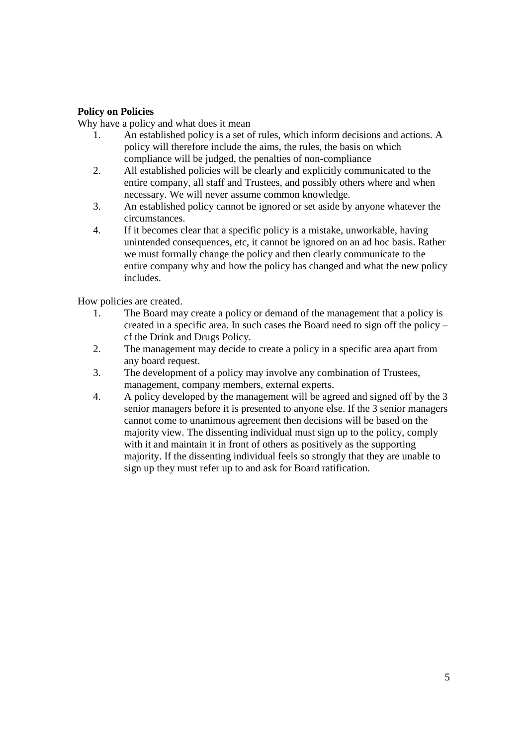# **Policy on Policies**

Why have a policy and what does it mean

- 1. An established policy is a set of rules, which inform decisions and actions. A policy will therefore include the aims, the rules, the basis on which compliance will be judged, the penalties of non-compliance
- 2. All established policies will be clearly and explicitly communicated to the entire company, all staff and Trustees, and possibly others where and when necessary. We will never assume common knowledge.
- 3. An established policy cannot be ignored or set aside by anyone whatever the circumstances.
- 4. If it becomes clear that a specific policy is a mistake, unworkable, having unintended consequences, etc, it cannot be ignored on an ad hoc basis. Rather we must formally change the policy and then clearly communicate to the entire company why and how the policy has changed and what the new policy includes.

How policies are created.

- 1. The Board may create a policy or demand of the management that a policy is created in a specific area. In such cases the Board need to sign off the policy – cf the Drink and Drugs Policy.
- 2. The management may decide to create a policy in a specific area apart from any board request.
- 3. The development of a policy may involve any combination of Trustees, management, company members, external experts.
- 4. A policy developed by the management will be agreed and signed off by the 3 senior managers before it is presented to anyone else. If the 3 senior managers cannot come to unanimous agreement then decisions will be based on the majority view. The dissenting individual must sign up to the policy, comply with it and maintain it in front of others as positively as the supporting majority. If the dissenting individual feels so strongly that they are unable to sign up they must refer up to and ask for Board ratification.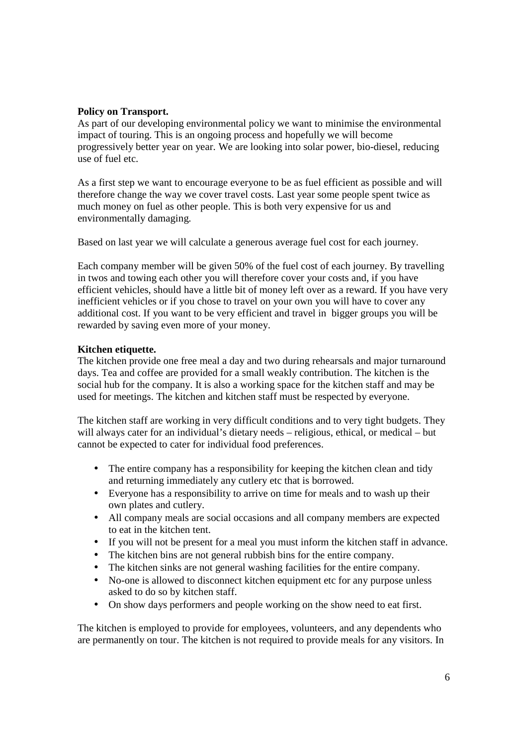#### **Policy on Transport.**

As part of our developing environmental policy we want to minimise the environmental impact of touring. This is an ongoing process and hopefully we will become progressively better year on year. We are looking into solar power, bio-diesel, reducing use of fuel etc.

As a first step we want to encourage everyone to be as fuel efficient as possible and will therefore change the way we cover travel costs. Last year some people spent twice as much money on fuel as other people. This is both very expensive for us and environmentally damaging.

Based on last year we will calculate a generous average fuel cost for each journey.

Each company member will be given 50% of the fuel cost of each journey. By travelling in twos and towing each other you will therefore cover your costs and, if you have efficient vehicles, should have a little bit of money left over as a reward. If you have very inefficient vehicles or if you chose to travel on your own you will have to cover any additional cost. If you want to be very efficient and travel in bigger groups you will be rewarded by saving even more of your money.

## **Kitchen etiquette.**

The kitchen provide one free meal a day and two during rehearsals and major turnaround days. Tea and coffee are provided for a small weakly contribution. The kitchen is the social hub for the company. It is also a working space for the kitchen staff and may be used for meetings. The kitchen and kitchen staff must be respected by everyone.

The kitchen staff are working in very difficult conditions and to very tight budgets. They will always cater for an individual's dietary needs – religious, ethical, or medical – but cannot be expected to cater for individual food preferences.

- The entire company has a responsibility for keeping the kitchen clean and tidy and returning immediately any cutlery etc that is borrowed.
- Everyone has a responsibility to arrive on time for meals and to wash up their own plates and cutlery.
- All company meals are social occasions and all company members are expected to eat in the kitchen tent.
- If you will not be present for a meal you must inform the kitchen staff in advance.
- The kitchen bins are not general rubbish bins for the entire company.
- The kitchen sinks are not general washing facilities for the entire company.
- No-one is allowed to disconnect kitchen equipment etc for any purpose unless asked to do so by kitchen staff.
- On show days performers and people working on the show need to eat first.

The kitchen is employed to provide for employees, volunteers, and any dependents who are permanently on tour. The kitchen is not required to provide meals for any visitors. In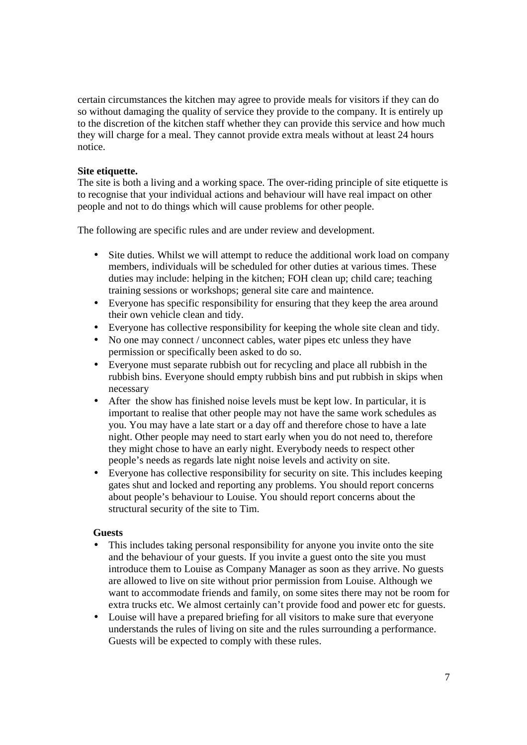certain circumstances the kitchen may agree to provide meals for visitors if they can do so without damaging the quality of service they provide to the company. It is entirely up to the discretion of the kitchen staff whether they can provide this service and how much they will charge for a meal. They cannot provide extra meals without at least 24 hours notice.

## **Site etiquette.**

The site is both a living and a working space. The over-riding principle of site etiquette is to recognise that your individual actions and behaviour will have real impact on other people and not to do things which will cause problems for other people.

The following are specific rules and are under review and development.

- Site duties. Whilst we will attempt to reduce the additional work load on company members, individuals will be scheduled for other duties at various times. These duties may include: helping in the kitchen; FOH clean up; child care; teaching training sessions or workshops; general site care and maintence.
- Everyone has specific responsibility for ensuring that they keep the area around their own vehicle clean and tidy.
- Everyone has collective responsibility for keeping the whole site clean and tidy.
- No one may connect / unconnect cables, water pipes etc unless they have permission or specifically been asked to do so.
- Everyone must separate rubbish out for recycling and place all rubbish in the rubbish bins. Everyone should empty rubbish bins and put rubbish in skips when necessary
- After the show has finished noise levels must be kept low. In particular, it is important to realise that other people may not have the same work schedules as you. You may have a late start or a day off and therefore chose to have a late night. Other people may need to start early when you do not need to, therefore they might chose to have an early night. Everybody needs to respect other people's needs as regards late night noise levels and activity on site.
- Everyone has collective responsibility for security on site. This includes keeping gates shut and locked and reporting any problems. You should report concerns about people's behaviour to Louise. You should report concerns about the structural security of the site to Tim.

## **Guests**

- This includes taking personal responsibility for anyone you invite onto the site and the behaviour of your guests. If you invite a guest onto the site you must introduce them to Louise as Company Manager as soon as they arrive. No guests are allowed to live on site without prior permission from Louise. Although we want to accommodate friends and family, on some sites there may not be room for extra trucks etc. We almost certainly can't provide food and power etc for guests.
- Louise will have a prepared briefing for all visitors to make sure that everyone understands the rules of living on site and the rules surrounding a performance. Guests will be expected to comply with these rules.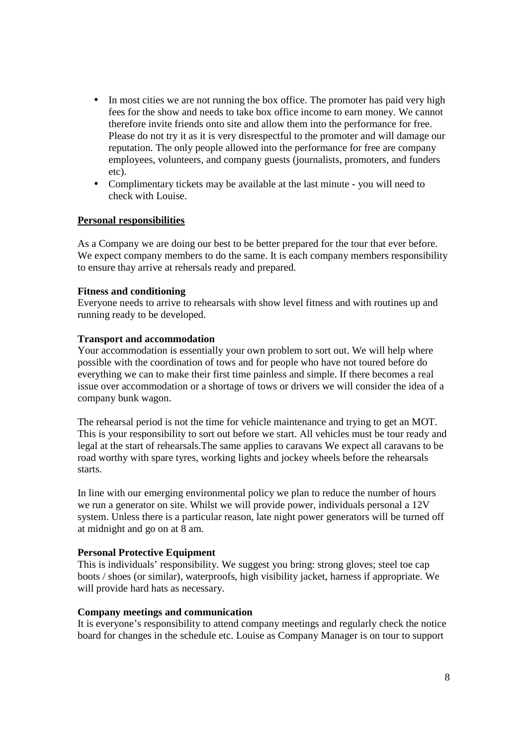- In most cities we are not running the box office. The promoter has paid very high fees for the show and needs to take box office income to earn money. We cannot therefore invite friends onto site and allow them into the performance for free. Please do not try it as it is very disrespectful to the promoter and will damage our reputation. The only people allowed into the performance for free are company employees, volunteers, and company guests (journalists, promoters, and funders etc).
- Complimentary tickets may be available at the last minute you will need to check with Louise.

#### **Personal responsibilities**

As a Company we are doing our best to be better prepared for the tour that ever before. We expect company members to do the same. It is each company members responsibility to ensure thay arrive at rehersals ready and prepared.

#### **Fitness and conditioning**

Everyone needs to arrive to rehearsals with show level fitness and with routines up and running ready to be developed.

#### **Transport and accommodation**

Your accommodation is essentially your own problem to sort out. We will help where possible with the coordination of tows and for people who have not toured before do everything we can to make their first time painless and simple. If there becomes a real issue over accommodation or a shortage of tows or drivers we will consider the idea of a company bunk wagon.

The rehearsal period is not the time for vehicle maintenance and trying to get an MOT. This is your responsibility to sort out before we start. All vehicles must be tour ready and legal at the start of rehearsals.The same applies to caravans We expect all caravans to be road worthy with spare tyres, working lights and jockey wheels before the rehearsals starts.

In line with our emerging environmental policy we plan to reduce the number of hours we run a generator on site. Whilst we will provide power, individuals personal a 12V system. Unless there is a particular reason, late night power generators will be turned off at midnight and go on at 8 am.

#### **Personal Protective Equipment**

This is individuals' responsibility. We suggest you bring: strong gloves; steel toe cap boots / shoes (or similar), waterproofs, high visibility jacket, harness if appropriate. We will provide hard hats as necessary.

#### **Company meetings and communication**

It is everyone's responsibility to attend company meetings and regularly check the notice board for changes in the schedule etc. Louise as Company Manager is on tour to support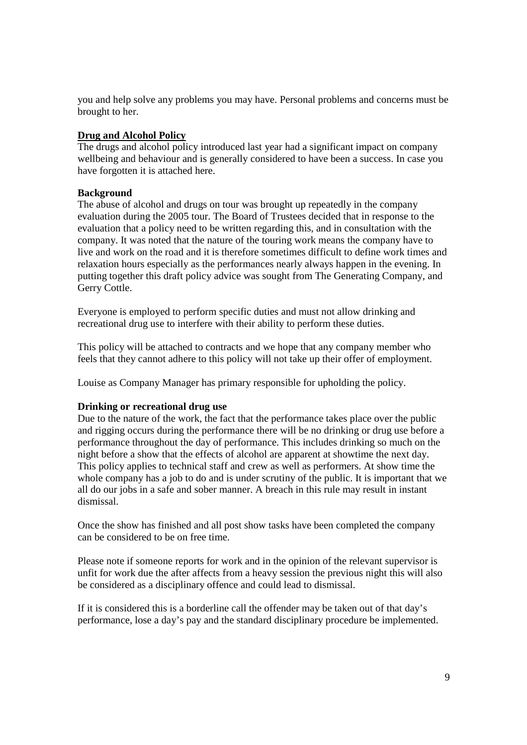you and help solve any problems you may have. Personal problems and concerns must be brought to her.

## **Drug and Alcohol Policy**

The drugs and alcohol policy introduced last year had a significant impact on company wellbeing and behaviour and is generally considered to have been a success. In case you have forgotten it is attached here.

## **Background**

The abuse of alcohol and drugs on tour was brought up repeatedly in the company evaluation during the 2005 tour. The Board of Trustees decided that in response to the evaluation that a policy need to be written regarding this, and in consultation with the company. It was noted that the nature of the touring work means the company have to live and work on the road and it is therefore sometimes difficult to define work times and relaxation hours especially as the performances nearly always happen in the evening. In putting together this draft policy advice was sought from The Generating Company, and Gerry Cottle.

Everyone is employed to perform specific duties and must not allow drinking and recreational drug use to interfere with their ability to perform these duties.

This policy will be attached to contracts and we hope that any company member who feels that they cannot adhere to this policy will not take up their offer of employment.

Louise as Company Manager has primary responsible for upholding the policy.

## **Drinking or recreational drug use**

Due to the nature of the work, the fact that the performance takes place over the public and rigging occurs during the performance there will be no drinking or drug use before a performance throughout the day of performance. This includes drinking so much on the night before a show that the effects of alcohol are apparent at showtime the next day. This policy applies to technical staff and crew as well as performers. At show time the whole company has a job to do and is under scrutiny of the public. It is important that we all do our jobs in a safe and sober manner. A breach in this rule may result in instant dismissal.

Once the show has finished and all post show tasks have been completed the company can be considered to be on free time.

Please note if someone reports for work and in the opinion of the relevant supervisor is unfit for work due the after affects from a heavy session the previous night this will also be considered as a disciplinary offence and could lead to dismissal.

If it is considered this is a borderline call the offender may be taken out of that day's performance, lose a day's pay and the standard disciplinary procedure be implemented.